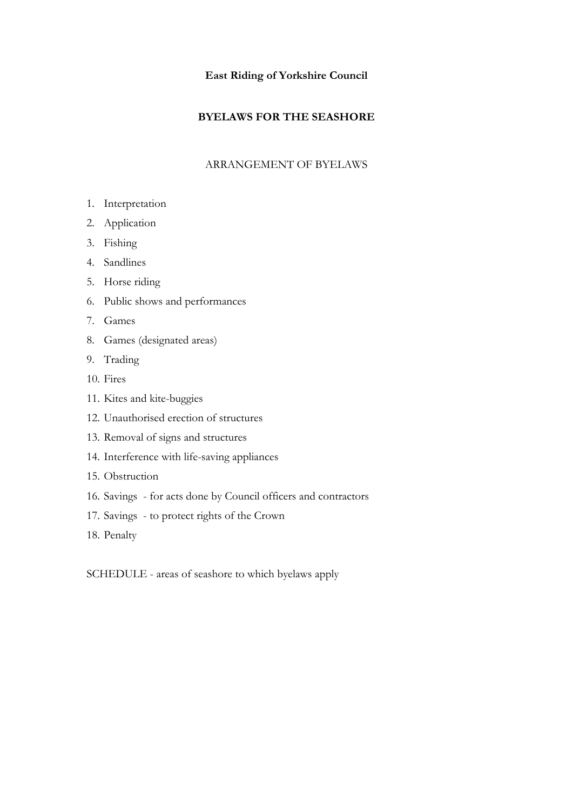## **East Riding of Yorkshire Council**

## **BYELAWS FOR THE SEASHORE**

## ARRANGEMENT OF BYELAWS

- 1. Interpretation
- 2. Application
- 3. Fishing
- 4. Sandlines
- 5. Horse riding
- 6. Public shows and performances
- 7. Games
- 8. Games (designated areas)
- 9. Trading
- 10. Fires
- 11. Kites and kite-buggies
- 12. Unauthorised erection of structures
- 13. Removal of signs and structures
- 14. Interference with life-saving appliances
- 15. Obstruction
- 16. Savings for acts done by Council officers and contractors
- 17. Savings to protect rights of the Crown
- 18. Penalty

SCHEDULE - areas of seashore to which byelaws apply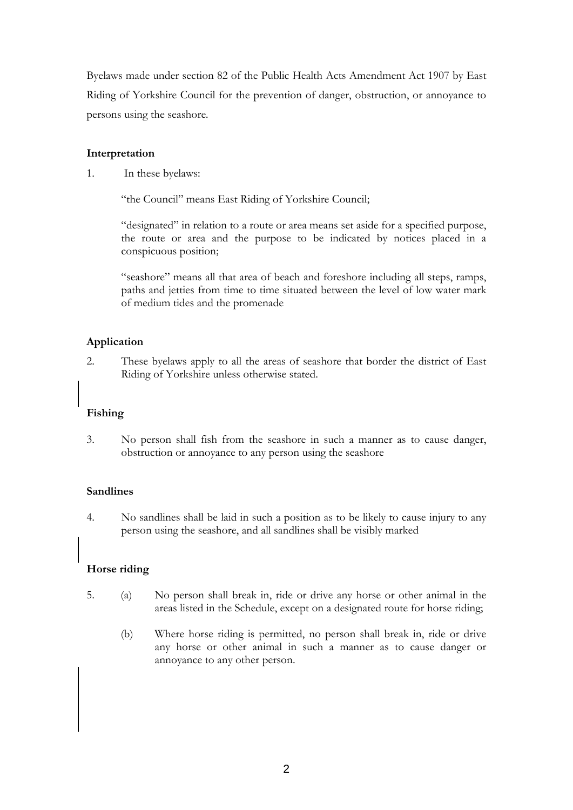Byelaws made under section 82 of the Public Health Acts Amendment Act 1907 by East Riding of Yorkshire Council for the prevention of danger, obstruction, or annoyance to persons using the seashore*.* 

### **Interpretation**

1. In these byelaws:

"the Council" means East Riding of Yorkshire Council;

 "designated" in relation to a route or area means set aside for a specified purpose, the route or area and the purpose to be indicated by notices placed in a conspicuous position;

 "seashore" means all that area of beach and foreshore including all steps, ramps, paths and jetties from time to time situated between the level of low water mark of medium tides and the promenade

## **Application**

2. These byelaws apply to all the areas of seashore that border the district of East Riding of Yorkshire unless otherwise stated.

# **Fishing**

3. No person shall fish from the seashore in such a manner as to cause danger, obstruction or annoyance to any person using the seashore

### **Sandlines**

4. No sandlines shall be laid in such a position as to be likely to cause injury to any person using the seashore, and all sandlines shall be visibly marked

# **Horse riding**

- 5. (a) No person shall break in, ride or drive any horse or other animal in the areas listed in the Schedule, except on a designated route for horse riding;
	- (b) Where horse riding is permitted, no person shall break in, ride or drive any horse or other animal in such a manner as to cause danger or annoyance to any other person.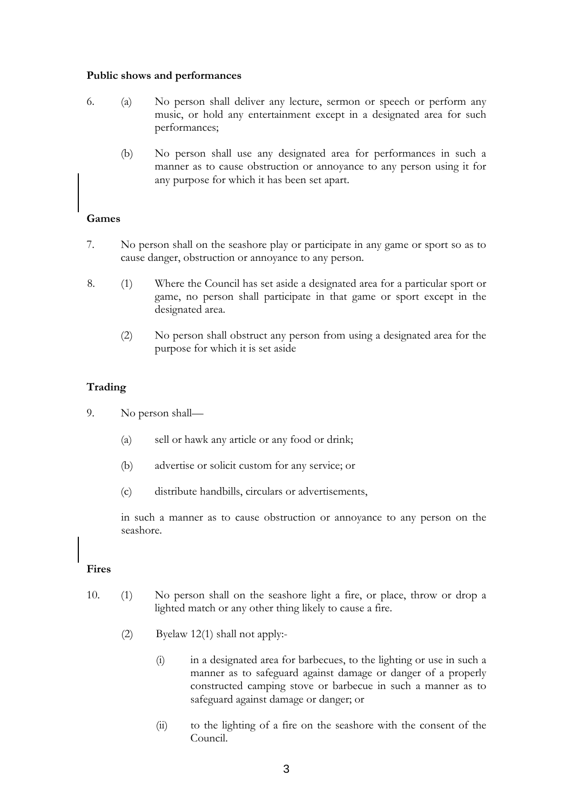#### **Public shows and performances**

- 6. (a) No person shall deliver any lecture, sermon or speech or perform any music, or hold any entertainment except in a designated area for such performances;
	- (b) No person shall use any designated area for performances in such a manner as to cause obstruction or annoyance to any person using it for any purpose for which it has been set apart.

### **Games**

- 7. No person shall on the seashore play or participate in any game or sport so as to cause danger, obstruction or annoyance to any person.
- 8. (1) Where the Council has set aside a designated area for a particular sport or game, no person shall participate in that game or sport except in the designated area.
	- (2) No person shall obstruct any person from using a designated area for the purpose for which it is set aside

### **Trading**

- 9. No person shall—
	- (a) sell or hawk any article or any food or drink;
	- (b) advertise or solicit custom for any service; or
	- (c) distribute handbills, circulars or advertisements,

 in such a manner as to cause obstruction or annoyance to any person on the seashore.

### **Fires**

- 10. (1) No person shall on the seashore light a fire, or place, throw or drop a lighted match or any other thing likely to cause a fire.
	- (2) Byelaw 12(1) shall not apply:-
		- (i) in a designated area for barbecues, to the lighting or use in such a manner as to safeguard against damage or danger of a properly constructed camping stove or barbecue in such a manner as to safeguard against damage or danger; or
		- (ii) to the lighting of a fire on the seashore with the consent of the Council.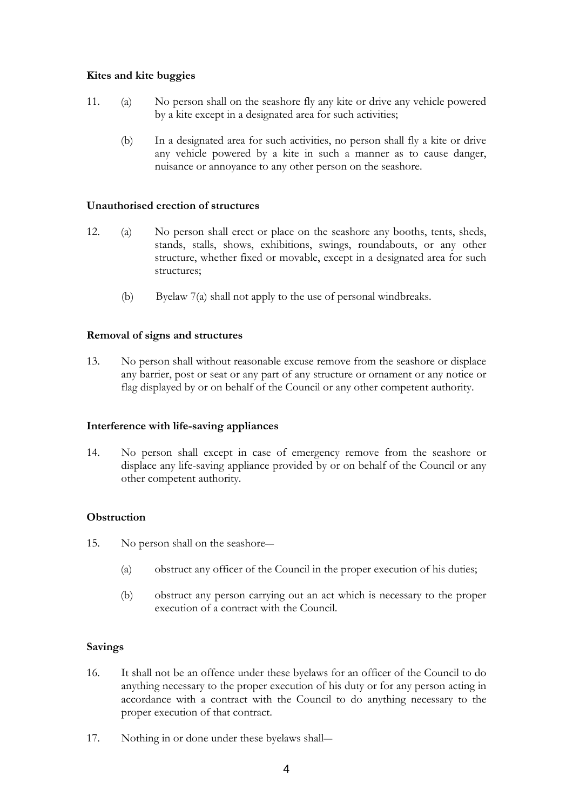### **Kites and kite buggies**

- 11. (a) No person shall on the seashore fly any kite or drive any vehicle powered by a kite except in a designated area for such activities;
	- (b) In a designated area for such activities, no person shall fly a kite or drive any vehicle powered by a kite in such a manner as to cause danger, nuisance or annoyance to any other person on the seashore.

### **Unauthorised erection of structures**

- 12. (a) No person shall erect or place on the seashore any booths, tents, sheds, stands, stalls, shows, exhibitions, swings, roundabouts, or any other structure, whether fixed or movable, except in a designated area for such structures;
	- (b) Byelaw 7(a) shall not apply to the use of personal windbreaks.

## **Removal of signs and structures**

13. No person shall without reasonable excuse remove from the seashore or displace any barrier, post or seat or any part of any structure or ornament or any notice or flag displayed by or on behalf of the Council or any other competent authority.

### **Interference with life-saving appliances**

14. No person shall except in case of emergency remove from the seashore or displace any life-saving appliance provided by or on behalf of the Council or any other competent authority.

# **Obstruction**

- 15. No person shall on the seashore―
	- (a) obstruct any officer of the Council in the proper execution of his duties;
	- (b) obstruct any person carrying out an act which is necessary to the proper execution of a contract with the Council.

### **Savings**

- 16. It shall not be an offence under these byelaws for an officer of the Council to do anything necessary to the proper execution of his duty or for any person acting in accordance with a contract with the Council to do anything necessary to the proper execution of that contract.
- 17. Nothing in or done under these byelaws shall―